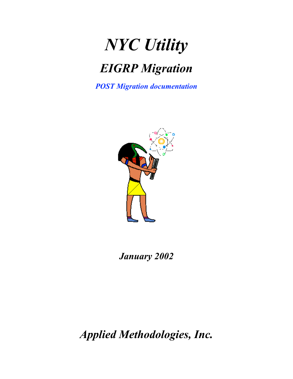# *NYC Utility*

## *EIGRP Migration*

*POST Migration documentation*



*January 2002*

*Applied Methodologies, Inc.*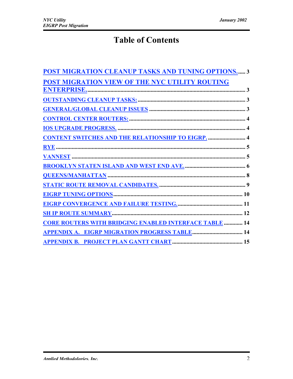### Table of Contents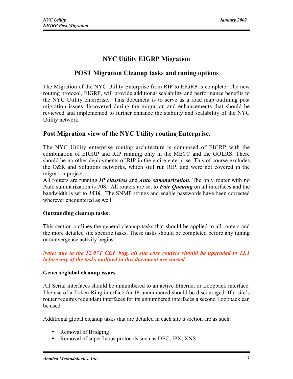#### NYC Utility EIGRP Migration

#### POST Migration Cleanup tasks and tuning options

The Migration of the NYC Utility Enterprise from RIP to EIGRP is complete. The new routing protocol, EIGRP, will provide additional scalability and performance benefits to the NYC Utility enterprise. This document is to serve as a road map outlining post migration issues discovered during the migration and enhancements that should be reviewed and implemented to further enhance the stability and scalability of the NYC Utility network.

#### Post Migration view of the NYC Utility routing Enterprise.

The NYC Utility enterprise routing architecture is composed of EIGRP with the combination of EIGRP and RIP running only in the MECC and the GOLRS. There should be no other deployments of RIP in the entire enterprise. This of course excludes the O&R and Solutions networks, which still run RIP, and were not covered in the migration project.

All routers are running *IP classless* and *Auto summarization*. The only router with no Auto summarization is 708. All routers are set to *Fair Queuing* on all interfaces and the bandwidth is set to *1536*. The SNMP strings and enable passwords have been corrected wherever encountered as well.

#### Outstanding cleanup tasks:

This section outlines the general cleanup tasks that should be applied to all routers and the more detailed site specific tasks. These tasks should be completed before any tuning or convergence activity begins.

*Note: due to the 12.07T CEF bug, all site core routers should be upgraded to 12.1 before any of the tasks outlined in this document are started.*

#### General/global cleanup issues

All Serial interfaces should be unnumbered to an active Ethernet or Loopback interface. The use of a Token-Ring interface for IP unnumbered should be discouraged. If a site's router requires redundant interfaces for its unnumbered interfaces a second Loopback can be used.

Additional global cleanup tasks that are detailed in each site's section are as such:

- Removal of Bridging
- Removal of superfluous protocols such as DEC, IPX, XNS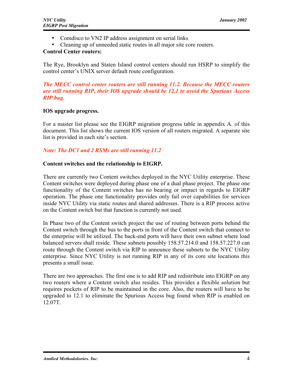- Comdisco to VN2 IP address assignment on serial links
- Cleaning up of unneeded static routes in all major site core routers.

#### Control Center routers:

The Rye, Brooklyn and Staten Island control centers should run HSRP to simplify the control center's UNIX server default route configuration.

#### *The MECC control center routers are still running 11.2. Because the MECC routers are still running RIP, their IOS upgrade should be 12.1 to avoid the Spurious Access RIP bug.*

#### IOS upgrade progress.

For a master list please see the EIGRP migration progress table in appendix A. of this document. This list shows the current IOS version of all routers migrated. A separate site list is provided in each site's section.

#### *Note: The DC1 and 2 RSMs are still running 11.2*

#### Content switches and the relationship to EIGRP.

There are currently two Content switches deployed in the NYC Utility enterprise. These Content switches were deployed during phase one of a dual phase project. The phase one functionality of the Content switches has no bearing or impact in regards to EIGRP operation. The phase one functionality provides only fail over capabilities for services inside NYC Utility via static routes and shared addresses. There is a RIP process active on the Content switch but that function is currently not used.

In Phase two of the Content switch project the use of routing between ports behind the Content switch through the bus to the ports in front of the Content switch that connect to the enterprise will be utilized. The back-end ports will have their own subnet where load balanced servers shall reside. These subnets possibly 158.57.214.0 and 158.57.227.0 can route through the Content switch via RIP to announce these subnets to the NYC Utility enterprise. Since NYC Utility is not running RIP in any of its core site locations this presents a small issue.

There are two approaches. The first one is to add RIP and redistribute into EIGRP on any two routers where a Content switch also resides. This provides a flexible solution but requires pockets of RIP to be maintained in the core. Also, the routers will have to be upgraded to 12.1 to eliminate the Spurious Access bug found when RIP is enabled on 12.07T.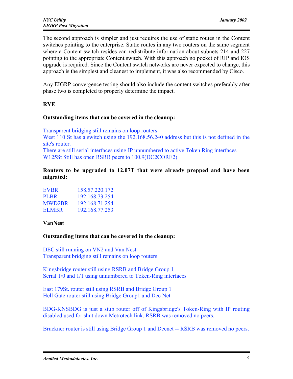The second approach is simpler and just requires the use of static routes in the Content switches pointing to the enterprise. Static routes in any two routers on the same segment where a Content switch resides can redistribute information about subnets 214 and 227 pointing to the appropriate Content switch. With this approach no pocket of RIP and IOS upgrade is required. Since the Content switch networks are never expected to change, this approach is the simplest and cleanest to implement, it was also recommended by Cisco.

Any EIGRP convergence testing should also include the content switches preferably after phase two is completed to properly determine the impact.

#### RYE

#### Outstanding items that can be covered in the cleanup:

Transparent bridging still remains on loop routers West 110 St has a switch using the 192.168.56.240 address but this is not defined in the site's router.

There are still serial interfaces using IP unnumbered to active Token Ring interfaces W125St Still has open RSRB peers to 100.9(DC2CORE2)

#### Routers to be upgraded to 12.07T that were already prepped and have been migrated:

| <b>EVBR</b>   | 158 57 220 172 |
|---------------|----------------|
| <b>PLBR</b>   | 192 168 73 254 |
| <b>MWD2BR</b> | 192 168 71 254 |
| ELMBR         | 192.168.77.253 |

#### VanNest

#### Outstanding items that can be covered in the cleanup:

DEC still running on VN2 and Van Nest Transparent bridging still remains on loop routers

Kingsbridge router still using RSRB and Bridge Group 1 Serial 1/0 and 1/1 using unnumbered to Token-Ring interfaces

East 179St. router still using RSRB and Bridge Group 1 Hell Gate router still using Bridge Group1 and Dec Net

BDG-KNSBDG is just a stub router off of Kingsbridge's Token-Ring with IP routing disabled used for shut down Metrotech link. RSRB was removed no peers.

Bruckner router is still using Bridge Group 1 and Decnet -- RSRB was removed no peers.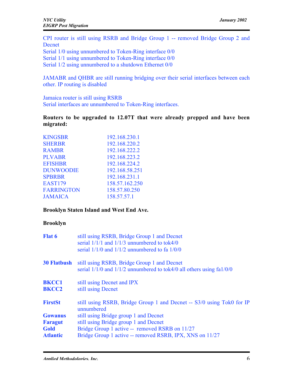CPI router is still using RSRB and Bridge Group 1 -- removed Bridge Group 2 and Decnet

Serial 1/0 using unnumbered to Token-Ring interface 0/0 Serial 1/1 using unnumbered to Token-Ring interface 0/0 Serial 1/2 using unnumbered to a shutdown Ethernet 0/0

JAMABR and QHBR are still running bridging over their serial interfaces between each other. IP routing is disabled

Jamaica router is still using RSRB Serial interfaces are unnumbered to Token-Ring interfaces.

#### Routers to be upgraded to 12.07T that were already prepped and have been migrated:

| KINGSBR           | 192.168.230.1  |
|-------------------|----------------|
| <b>SHERBR</b>     | 192.168.220.2  |
| <b>RAMBR</b>      | 192.168.222.2  |
| <b>PLVABR</b>     | 192.168.223.2  |
| <b>EFISHBR</b>    | 192.168.224.2  |
| <b>DUNWOODIE</b>  | 192.168.58.251 |
| <b>SPBRBR</b>     | 192.168.231.1  |
| <b>EAST179</b>    | 158.57.162.250 |
| <b>FARRINGTON</b> | 158.57.80.250  |
| <b>JAMAICA</b>    | 158.57.57.1    |

#### Brooklyn Staten Island and West End Ave.

#### Brooklyn

| still using RSRB, Bridge Group 1 and Decnet<br>serial $1/1/1$ and $1/1/3$ unnumbered to tok4/0<br>serial $1/1/0$ and $1/1/2$ unnumbered to fa $1/0/0$ |
|-------------------------------------------------------------------------------------------------------------------------------------------------------|
| still using RSRB, Bridge Group 1 and Decnet<br>serial $1/1/0$ and $1/1/2$ unnumbered to tok4/0 all others using $fa1/0/0$                             |
| still using Decnet and IPX<br>still using Decnet                                                                                                      |
| still using RSRB, Bridge Group 1 and Decnet -- S3/0 using Tok0 for IP<br>unnumbered                                                                   |
| still using Bridge group 1 and Decnet                                                                                                                 |
| still using Bridge group 1 and Decnet                                                                                                                 |
| Bridge Group 1 active -- removed RSRB on 11/27                                                                                                        |
| Bridge Group 1 active -- removed RSRB, IPX, XNS on 11/27                                                                                              |
|                                                                                                                                                       |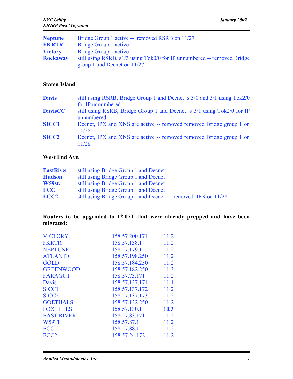| Bridge Group 1 active -- removed RSRB on 11/27                                                           |
|----------------------------------------------------------------------------------------------------------|
| Bridge Group 1 active                                                                                    |
| Bridge Group 1 active                                                                                    |
| still using RSRB, s1/3 using Tok0/0 for IP unnumbered -- removed Bridge<br>group 1 and Decnet on $11/27$ |
|                                                                                                          |

#### Staten Island

| <b>Davis</b>   | still using RSRB, Bridge Group 1 and Decnet s 3/0 and 3/1 using Tok2/0              |
|----------------|-------------------------------------------------------------------------------------|
|                | for IP unnumbered                                                                   |
| <b>DavisCC</b> | still using RSRB, Bridge Group 1 and Decnet s 3/1 using Tok2/0 for IP<br>unnumbered |
| <b>SICC1</b>   | Decnet, IPX and XNS are active -- removed removed Bridge group 1 on<br>11/28        |
| <b>SICC2</b>   | Decnet, IPX and XNS are active -- removed removed Bridge group 1 on<br>11/28        |

#### West End Ave.

| <b>EastRiver</b> | still using Bridge Group 1 and Decnet                          |
|------------------|----------------------------------------------------------------|
| <b>Hudson</b>    | still using Bridge Group 1 and Decnet                          |
| <b>W59st.</b>    | still using Bridge Group 1 and Decnet                          |
| <b>ECC</b>       | still using Bridge Group 1 and Decnet                          |
| ECC <sub>2</sub> | still using Bridge Group 1 and Decnet --- removed IPX on 11/28 |

#### Routers to be upgraded to 12.07T that were already prepped and have been migrated:

| <b>VICTORY</b>    | 158.57.200.171 | 11.2 |
|-------------------|----------------|------|
| <b>FKRTR</b>      | 158.57.138.1   | 11.2 |
| <b>NEPTUNE</b>    | 158.57.179.1   | 11.2 |
| <b>ATLANTIC</b>   | 158.57.198.250 | 11.2 |
| <b>GOLD</b>       | 158.57.184.250 | 11.2 |
| <b>GREENWOOD</b>  | 158.57.182.250 | 11.3 |
| <b>FARAGUT</b>    | 158.57.73.171  | 11.2 |
| Davis             | 158.57.137.171 | 11.1 |
| <b>SICC1</b>      | 158.57.137.172 | 11.2 |
| SICC <sub>2</sub> | 158.57.137.173 | 11.2 |
| <b>GOETHALS</b>   | 158.57.132.250 | 11.2 |
| <b>FOX HILLS</b>  | 158.57.130.1   | 10.3 |
| <b>EAST RIVER</b> | 158.57.83.171  | 11.2 |
| W59TH             | 158.57.87.1    | 11.2 |
| <b>ECC</b>        | 158.57.88.1    | 11.2 |
| ECC <sub>2</sub>  | 158.57.24.172  | 11.2 |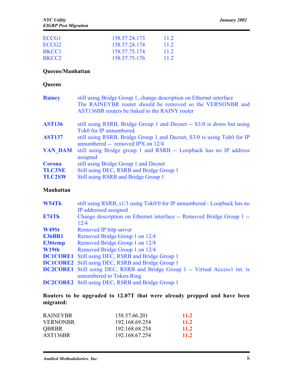| ECCG1             | 158.57.24.173 | 11.2 |
|-------------------|---------------|------|
| ECCG <sub>2</sub> | 158.57.24.174 | 11.2 |
| BKCC1             | 158.57.75.174 | 11.2 |
| BKCC <sub>2</sub> | 158 57 75 176 | 112  |

#### Queens/Manhattan

#### **Queens**

| still using Bridge Group 1, change description on Ethernet interface<br>The RAINEYBR router should be removed so the VERNONBR and<br>AST136BR routers be linked to the RAINY router |
|-------------------------------------------------------------------------------------------------------------------------------------------------------------------------------------|
| still using RSRB, Bridge Group 1 and Decnet -- S3/0 is down but using                                                                                                               |
| Tok0 for IP unnumbered<br>still using RSRB, Bridge Group 1 and Decnet, S3/0 is using Tok0 for IP                                                                                    |
| unnumbered -- removed IPX on $12/4$                                                                                                                                                 |
| still using Bridge group 1 and RSRB -- Loopback has no IP address<br>assigned                                                                                                       |
| still using Bridge Group 1 and Decnet                                                                                                                                               |
| Still using DEC, RSRB and Bridge Group 1                                                                                                                                            |
| Still using RSRB and Bridge Group 1                                                                                                                                                 |
|                                                                                                                                                                                     |

#### Manhattan

| W54Th           | still using RSRB, s1/3 using Tok0/0 for IP unnumbered - Loopback has no             |
|-----------------|-------------------------------------------------------------------------------------|
|                 | IP addressed assigned                                                               |
| <b>E74Th</b>    | Change description on Ethernet interface -- Removed Bridge Group 1 --               |
|                 | 12/4                                                                                |
| W49St           | Removed IP http server                                                              |
| <b>E36BR1</b>   | Removed Bridge Group 1 on 12/4                                                      |
| <b>E36temp</b>  | Removed Bridge Group 1 on 12/4                                                      |
| W19th           | Removed Bridge Group 1 on 12/4                                                      |
| <b>DC1CORE1</b> | Still using DEC, RSRB and Bridge Group 1                                            |
|                 | <b>DC1CORE2</b> Still using DEC, RSRB and Bridge Group 1                            |
|                 | <b>DC2CORE1</b> Still using DEC, RSRB and Bridge Group 1 -- Virtual Access1 int. is |
|                 | unnumbered to Token-Ring                                                            |
|                 | <b>DC2CORE2</b> Still using DEC, RSRB and Bridge Group 1                            |
|                 |                                                                                     |

Routers to be upgraded to 12.07T that were already prepped and have been migrated:

| <b>RAINEYBR</b>       | 158.57.66.201  | 11.2        |
|-----------------------|----------------|-------------|
| <b>VERNONBR</b>       | 192 168 69 254 | <b>11.2</b> |
| <b>QBRBR</b>          | 192.168.68.254 | <b>11.2</b> |
| AST <sub>136</sub> BR | 192.168.67.254 | 11.2        |
|                       |                |             |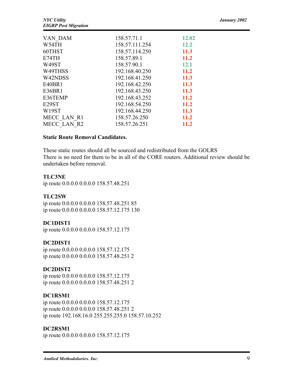| VAN DAM            | 158.57.71.1    | 12.02       |  |
|--------------------|----------------|-------------|--|
| W54TH              | 158.57.111.254 | <b>12.2</b> |  |
| 60THST             | 158.57.114.250 | 11.3        |  |
| E74TH              | 158.57.89.1    | 11.2        |  |
| W49ST              | 158.57.90.1    | <b>12.1</b> |  |
| W49THSS            | 192.168.40.250 | <b>11.2</b> |  |
| W42NDSS            | 192.168.41.250 | 11.3        |  |
| E40BR1             | 192.168.42.250 | 11.3        |  |
| E36BR1             | 192.168.43.250 | 11.3        |  |
| E36TEMP            | 192.168.43.252 | 11.2        |  |
| E <sub>29</sub> ST | 192.168.54.250 | 11.2        |  |
| W <sub>19</sub> ST | 192.168.44.250 | 11.3        |  |
| MECC LAN R1        | 158.57.26.250  | 11.2        |  |
| MECC LAN R2        | 158.57.26.251  | 11.2        |  |

#### Static Route Removal Candidates.

These static routes should all be sourced and redistributed from the GOLRS There is no need for them to be in all of the CORE routers. Additional review should be undertaken before removal.

#### TLC3NE

ip route 0.0.0.0 0.0.0.0 158.57.48.251

#### TLC2SW

ip route 0.0.0.0 0.0.0.0 158.57.48.251 85 ip route 0.0.0.0 0.0.0.0 158.57.12.175 130

#### DC1DIST1

ip route 0.0.0.0 0.0.0.0 158.57.12.175

#### DC2DIST1

ip route 0.0.0.0 0.0.0.0 158.57.12.175 ip route 0.0.0.0 0.0.0.0 158.57.48.251 2

#### DC2DIST2

ip route 0.0.0.0 0.0.0.0 158.57.12.175 ip route 0.0.0.0 0.0.0.0 158.57.48.251 2

#### DC1RSM1

ip route 0.0.0.0 0.0.0.0 158.57.12.175 ip route 0.0.0.0 0.0.0.0 158.57.48.251 2 ip route 192.168.16.0 255.255.255.0 158.57.10.252

#### DC2RSM1

ip route 0.0.0.0 0.0.0.0 158.57.12.175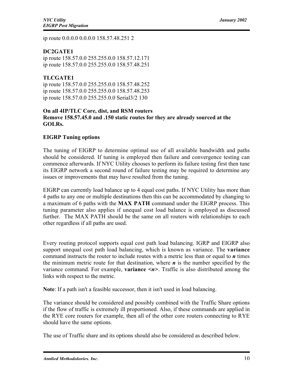ip route 0.0.0.0 0.0.0.0 158.57.48.251 2

#### DC2GATE1

ip route 158.57.0.0 255.255.0.0 158.57.12.171 ip route 158.57.0.0 255.255.0.0 158.57.48.251

#### TLCGATE1

ip route 158.57.0.0 255.255.0.0 158.57.48.252 ip route 158.57.0.0 255.255.0.0 158.57.48.253 ip route 158.57.0.0 255.255.0.0 Serial3/2 130

#### On all 4IP/TLC Core, dist, and RSM routers Remove 158.57.45.0 and .150 static routes for they are already sourced at the GOLRs.

#### EIGRP Tuning options

The tuning of EIGRP to determine optimal use of all available bandwidth and paths should be considered. If tuning is employed then failure and convergence testing can commence afterwards. If NYC Utility chooses to perform its failure testing first then tune its EIGRP network a second round of failure testing may be required to determine any issues or improvements that may have resulted from the tuning.

EIGRP can currently load balance up to 4 equal cost paths. If NYC Utility has more than 4 paths to any one or multiple destinations then this can be accommodated by changing to a maximum of 6 paths with the MAX PATH command under the EIGRP process. This tuning parameter also applies if unequal cost load balance is employed as discussed further. The MAX PATH should be the same on all routers with relationships to each other regardless if all paths are used.

Every routing protocol supports equal cost path load balancing. IGRP and EIGRP also support unequal cost path load balancing, which is known as variance. The **variance** command instructs the router to include routes with a metric less than or equal to *n* times the minimum metric route for that destination, where  $n$  is the number specified by the variance command. For example, variance <*n*>. Traffic is also distributed among the links with respect to the metric.

Note: If a path isn't a feasible successor, then it isn't used in load balancing.

The variance should be considered and possibly combined with the Traffic Share options if the flow of traffic is extremely ill proportioned. Also, if these commands are applied in the RYE core routers for example, then all of the other core routers connecting to RYE should have the same options.

The use of Traffic share and its options should also be considered as described below.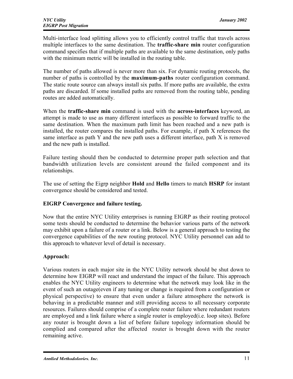Multi-interface load splitting allows you to efficiently control traffic that travels across multiple interfaces to the same destination. The **traffic-share min** router configuration command specifies that if multiple paths are available to the same destination, only paths with the minimum metric will be installed in the routing table.

The number of paths allowed is never more than six. For dynamic routing protocols, the number of paths is controlled by the **maximum-paths** router configuration command. The static route source can always install six paths. If more paths are available, the extra paths are discarded. If some installed paths are removed from the routing table, pending routes are added automatically.

When the **traffic-share min** command is used with the **across-interfaces** keyword, an attempt is made to use as many different interfaces as possible to forward traffic to the same destination. When the maximum path limit has been reached and a new path is installed, the router compares the installed paths. For example, if path X references the same interface as path Y and the new path uses a different interface, path X is removed and the new path is installed.

Failure testing should then be conducted to determine proper path selection and that bandwidth utilization levels are consistent around the failed component and its relationships.

The use of setting the Eigrp neighbor Hold and Hello timers to match HSRP for instant convergence should be considered and tested.

#### EIGRP Convergence and failure testing.

Now that the entire NYC Utility enterprises is running EIGRP as their routing protocol some tests should be conducted to determine the behavior various parts of the network may exhibit upon a failure of a router or a link. Below is a general approach to testing the convergence capabilities of the new routing protocol. NYC Utility personnel can add to this approach to whatever level of detail is necessary.

#### Approach:

Various routers in each major site in the NYC Utility network should be shut down to determine how EIGRP will react and understand the impact of the failure. This approach enables the NYC Utility engineers to determine what the network may look like in the event of such an outage(even if any tuning or change is required from a configuration or physical perspective) to ensure that even under a failure atmosphere the network is behaving in a predictable manner and still providing access to all necessary corporate resources. Failures should comprise of a complete router failure where redundant routers are employed and a link failure where a single router is employed(i.e. loop sites). Before any router is brought down a list of before failure topology information should be complied and compared after the affected router is brought down with the router remaining active.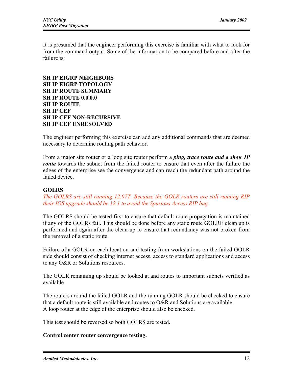It is presumed that the engineer performing this exercise is familiar with what to look for from the command output. Some of the information to be compared before and after the failure is:

#### SH IP EIGRP NEIGHBORS SH IP EIGRP TOPOLOGY SH IP ROUTE SUMMARY SH IP ROUTE 0.0.0.0 SH IP ROUTE SH IP CEF SH IP CEF NON-RECURSIVE SH IP CEF UNRESOLVED

The engineer performing this exercise can add any additional commands that are deemed necessary to determine routing path behavior.

From a major site router or a loop site router perform a *ping, trace route and a show IP route* towards the subnet from the failed router to ensure that even after the failure the edges of the enterprise see the convergence and can reach the redundant path around the failed device.

#### **GOLRS**

*The GOLRS are still running 12.07T. Because the GOLR routers are still running RIP their IOS upgrade should be 12.1 to avoid the Spurious Access RIP bug.*

The GOLRS should be tested first to ensure that default route propagation is maintained if any of the GOLRs fail. This should be done before any static route GOLRE clean up is performed and again after the clean-up to ensure that redundancy was not broken from the removal of a static route.

Failure of a GOLR on each location and testing from workstations on the failed GOLR side should consist of checking internet access, access to standard applications and access to any O&R or Solutions resources.

The GOLR remaining up should be looked at and routes to important subnets verified as available.

The routers around the failed GOLR and the running GOLR should be checked to ensure that a default route is still available and routes to O&R and Solutions are available. A loop router at the edge of the enterprise should also be checked.

This test should be reversed so both GOLRS are tested.

#### Control center router convergence testing.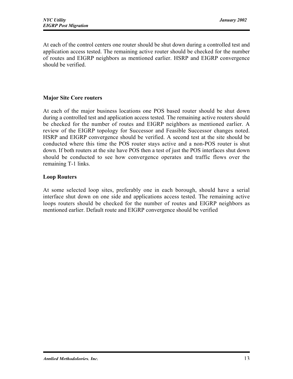At each of the control centers one router should be shut down during a controlled test and application access tested. The remaining active router should be checked for the number of routes and EIGRP neighbors as mentioned earlier. HSRP and EIGRP convergence should be verified.

#### Major Site Core routers

At each of the major business locations one POS based router should be shut down during a controlled test and application access tested. The remaining active routers should be checked for the number of routes and EIGRP neighbors as mentioned earlier. A review of the EIGRP topology for Successor and Feasible Successor changes noted. HSRP and EIGRP convergence should be verified. A second test at the site should be conducted where this time the POS router stays active and a non-POS router is shut down. If both routers at the site have POS then a test of just the POS interfaces shut down should be conducted to see how convergence operates and traffic flows over the remaining T-1 links.

#### Loop Routers

At some selected loop sites, preferably one in each borough, should have a serial interface shut down on one side and applications access tested. The remaining active loops routers should be checked for the number of routes and EIGRP neighbors as mentioned earlier. Default route and EIGRP convergence should be verified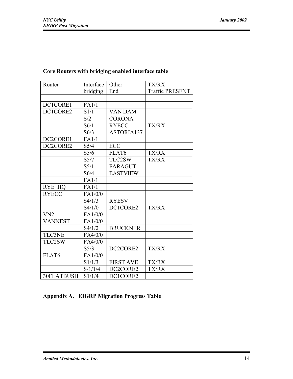| Router         | Interface      | Other            | TX/RX                  |
|----------------|----------------|------------------|------------------------|
|                | bridging       | End              | <b>Traffic PRESENT</b> |
|                |                |                  |                        |
| DC1CORE1       | FA1/1          |                  |                        |
| DC1CORE2       | S1/1           | <b>VAN DAM</b>   |                        |
|                | S/2            | <b>CORONA</b>    |                        |
|                | S6/1           | <b>RYECC</b>     | TX/RX                  |
|                | S6/3           | ASTORIA137       |                        |
| DC2CORE1       | FA1/1          |                  |                        |
| DC2CORE2       | S5/4           | ECC              |                        |
|                | $S\frac{5}{6}$ | FLAT6            | <b>TX/RX</b>           |
|                | S5/7           | TLC2SW           | <b>TX/RX</b>           |
|                | S5/1           | <b>FARAGUT</b>   |                        |
|                | S6/4           | <b>EASTVIEW</b>  |                        |
|                | FA1/1          |                  |                        |
| <b>RYE HQ</b>  | FA1/1          |                  |                        |
| <b>RYECC</b>   | FA1/0/0        |                  |                        |
|                | S4/1/3         | <b>RYESV</b>     |                        |
|                | S4/1/0         | DC1CORE2         | <b>TX/RX</b>           |
| VN2            | FA1/0/0        |                  |                        |
| <b>VANNEST</b> | FA1/0/0        |                  |                        |
|                | S4/1/2         | <b>BRUCKNER</b>  |                        |
| <b>TLC3NE</b>  | FA4/0/0        |                  |                        |
| TLC2SW         | FA4/0/0        |                  |                        |
|                | S5/3           | DC2CORE2         | TX/RX                  |
| FLAT6          | FA1/0/0        |                  |                        |
|                | S1/1/3         | <b>FIRST AVE</b> | <b>TX/RX</b>           |
|                | S/1/1/4        | DC2CORE2         | <b>TX/RX</b>           |
| 30FLATBUSH     | S1/1/4         | DC1CORE2         |                        |

#### Core Routers with bridging enabled interface table

#### Appendix A. EIGRP Migration Progress Table